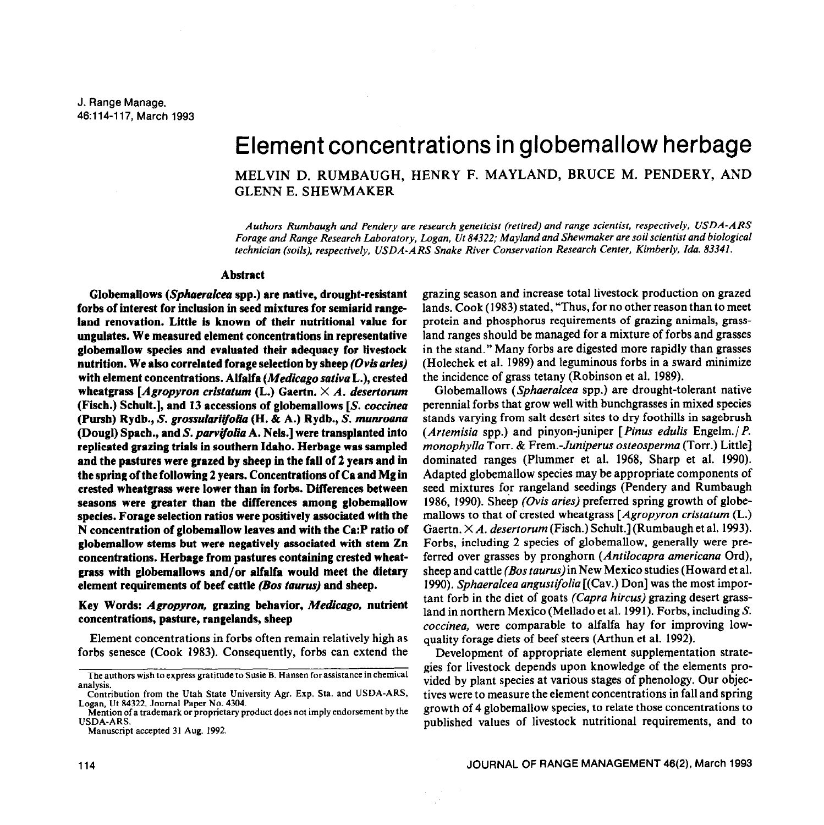# Element concentrations in globemallow herbage

MELVIN D. RUMBAUGH, HENRY F. MAYLAND, BRUCE M. PENDERY, AND GLENN E. SHEWMAKER

*Authors Rumbaugh and Pendery are research geneticist (retired) and range scientist, respectively, USDA-AR.9 Forage and Range Research Laboratory, Logan, Ut 84322; Mayland and Shewmaker are soil scientist and biological technician (soils), respectively, USDA-A RS Snake River Conservation Research Center, Kimberly, Ida. 83341.* 

#### **Abstract**

**Globemallows** *(Sphueralcea* **spp.) are native, drought-resistant forbs of interest for inclusion in seed mixtures for semiarid rangeland renovation. Little is known of their nutritional value for ungulates. We measured element concentrations in representative globemallow species and evaluated their adequacy for livestock nutrition. We also correlated forage selection by sheep** *(Ovisaries)*  **with element concentrations. Alfalfa** *(Medicago sativa* **L.), crested wheatgrass** *[Agropyron cristatum* **(L.) Gaertn. X** *A. desertorum*  **(Fisch.) Schult.], and 13 accessions of globemallows [S.** *coccinea*  **(Pursh) Rydb., S.** *grossulari~olia (H. &* **A.) Rydb., S.** *munroana*  **(Dougl) Spach., and S.** *panjfolia* **A. Nels.] were transplanted into replicated grazing trials in southern Idaho. Herbage was sampled and the pastures were grazed by sheep in the fall of 2 years and in the spring of the following 2 years. Concentrations of Ca and Mg in crested wheatgrass were lower than in forbs. Differences between seasons were greater than the differences among globemallow species. Forage selection ratios were positively associated with the N concentration of globemallow leaves and with the Ca:P ratio of globemallow stems but were negatively associated with stem Zn**  concentrations. Herbage from pastures containing crested wheat**grass with globemallows and/or alfalfa would meet the dietary element requirements of beef cattle** *(Bos taurus)* **and sheep.** 

### **Key Words:** *Agropyron,* **grazing behavior,** *Medicago,* **nutrient concentrations, pasture, rangelands, sheep**

Element concentrations in forbs often remain relatively high as forbs senesce (Cook 1983). Consequently, forbs can extend the

**Mention of a trademark or proprietary product does not imply endorsement by the USDA-ARS.** 

**Manuscript accepted 31 Aug. 1992.** 

grazing season and increase total livestock production on grazed lands. Cook (1983) stated, "Thus, for no other reason than to meet protein and phosphorus requirements of grazing animals, grassland ranges should be managed for a mixture of forbs and grasses in the stand." Many forbs are digested more rapidly than grasses (Holechek et al. 1989) and leguminous forbs in a sward minimize the incidence of grass tetany (Robinson et al. 1989).

Globemallows (Sphaeralcea spp.) are drought-tolerant native perennial forbs that grow well with bunchgrasses in mixed species stands varying from salt desert sites to dry foothills in sagebrush *(Artemisia* spp.) and pinyon-juniper [ *Pinus edulis* Engelm./ *P. monophylla* Torr. & Frem.-Juniperus osteosperma (Torr.) Little] dominated ranges (Plummer et al. 1968, Sharp et al. 1990). Adapted globemallow species may be appropriate components of seed mixtures for rangeland seedings (Pendery and Rumbaugh 1986, 1990). Sheep *(Ovis aries)* preferred spring growth of globemallows to that of crested wheatgrass *[Agropyron cristatum* (L.) Gaertn. X *A. desertorum* (Fisch.) Schult.] (Rumbaugh et al. 1993). Forbs, including 2 species of globemallow, generally were preferred over grasses by pronghorn *(Antilocapra americana* Ord), sheep and cattle *(Bos taurus)in New* Mexico studies (Howard et al. 1990). *Sphaerulcea angustifoliu* [(Cav.) Don] was the most important forb in the diet of goats *(Capro hircus)* grazing desert grassland in northern Mexico (Mellado et al. 1991). Forbs, including S. *coccinea,* **were** comparable to alfalfa hay for improving lowquality forage diets of beef steers (Arthun et al. 1992).

Development of appropriate element supplementation strategies for livestock depends upon knowledge of the elements provided by plant species at various stages of phenology. Our objectives were to measure the element concentrations in fall and spring growth of 4 globemallow species, to relate those concentrations to published values of livestock nutritional requirements, and to

**The authors wish to express gratitude to Susie B. Hansen** for **assistance in chemical analysis.** 

**Contribution from the Utah State University Agr. Exp. Sta. and USDA-ARS, Logan, Ut 84322. Journal Paper No. 4304.**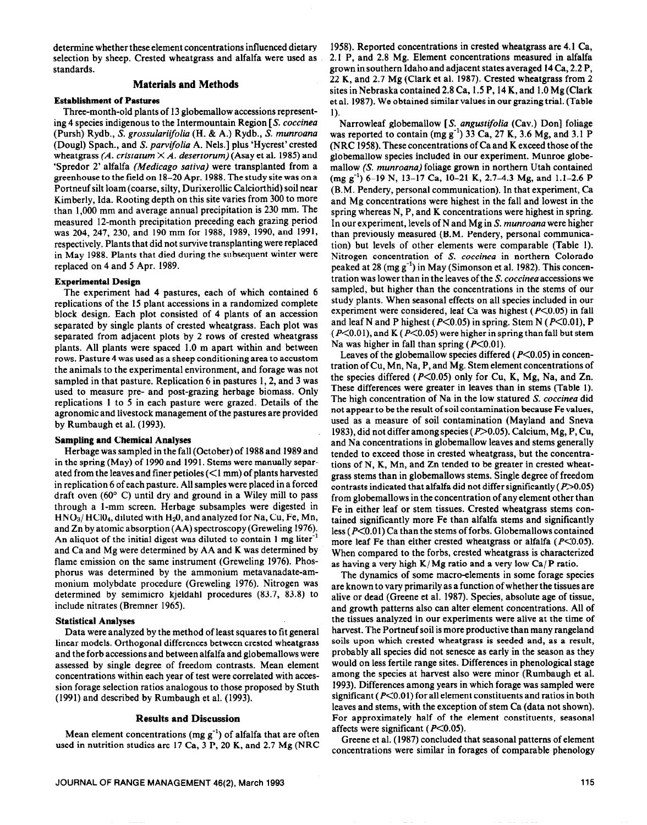determine whether these element concentrations influenced dietary selection by sheep. Crested wheatgrass and alfalfa were used as standards.

# **Materials and Methods**

#### **Establishment of Pastures**

Three-month-old plants of 13 globemallow accessions representing 4 species indigenous to the Intermountain Region [S. *coccineu*  (Pursh) Rydb., S. *grossulariijolia* (H. & A.) Rydb., S. munroana (Dougl) Spach., and S. *parvifoliu* A. Nels.] plus 'Hycrest' crested wheatgrass  $(A.$  cristatum  $\times A.$  desertorum) (Asay et al. 1985) and 'Spredor 2' alfalfa *(Medicago sativu)* were transplanted from a greenhouse to the field on 18-20 Apr. 1988. The study site was on a Portneuf silt loam (coarse, silty, Durixerollic Calciorthid) soil near Kimberly, Ida. Rooting depth on this site varies from 300 to more than 1,000 mm and average annual precipitation is 230 mm. The measured 12-month precipitation preceding each grazing period was 204, 247, 230, and 190 mm for 1988, 1989, 1990, and 1991, respectively. Plants that did not survive transplanting were replaced in May 1988. Plants that died during the subsequent winter were replaced on 4 and 5 Apr. 1989.

### **Experimental Design**

The experiment had 4 pastures, each of which contained 6 replications of the 15 plant accessions in a randomized complete block design. Each plot consisted of 4 plants of an accession separated by single plants of crested wheatgrass. Each plot was separated from adjacent plots by 2 rows of crested wheatgrass plants. All plants were spaced 1.0 m apart within and between rows. Pasture 4 was used as a sheep conditioning area to accustom the animals to the experimental environment, and forage was not sampled in that pasture. Replication 6 in pastures 1, 2, and 3 was used to measure pre- and post-grazing herbage biomass. Only replications 1 to 5 in each pasture were grazed. Details of the agronomic and livestock management of the pastures are provided by Rumbaugh et al. (1993).

#### **Sampling and Chemical Analyses**

Herbage was sampled in the fall (October) of 1988 and 1989 and in the spring (May) of 1990 and 1991. Stems were manually separated from the leaves and finer petioles (<I mm) of plants harvested in replication 6 of each pasture. All samples were placed in a forced draft oven  $(60^{\circ}$  C) until dry and ground in a Wiley mill to pass through a l-mm screen. Herbage subsamples were digested in  $HNO<sub>3</sub>/HClO<sub>4</sub>$ , diluted with  $H<sub>2</sub>O$ , and analyzed for Na, Cu, Fe, Mn, and Zn by atomic absorption (AA) spectroscopy (Greweling 1976). An aliquot of the initial digest was diluted to contain 1 mg liter<sup>-1</sup> and Ca and Mg were determined by AA and K was determined by flame emission on the same instrument (Greweling 1976). Phosphorus was determined by the ammonium metavanadate-ammonium molybdate procedure (Greweling 1976). Nitrogen was determined by semimicro kjeldahl procedures (83.7, 83.8) to include nitrates (Bremner 1965).

## **Statistical Analyses**

Data were analyzed by the method of least squares to fit general linear models. Orthogonal differences between crested wheatgrass and the forb accessions and between alfalfa and globemallows were assessed by single degree of freedom contrasts. Mean element concentrations within each year of test were correlated with accession forage selection ratios analogous to those proposed by Stuth (1991) and described by Rumbaugh et al. (1993).

#### **Results and Discussion**

Mean element concentrations (mg  $g^{-1}$ ) of alfalfa that are often used in nutrition studies are 17 Ca, 3 P, 20 K, and 2.7 Mg (NRC **1958).** Reported concentrations in crested wheatgrass are 4.1 Ca, 2.1 P, and 2.8 Mg. Element concentrations measured in alfalfa grown in southern Idaho and adjacent states averaged 14 Ca, 2.2 P, 22 K, and 2.7 Mg (Clark et al. 1987). Crested wheatgrass from 2 sites in Nebraska contained 2.8 Ca, 1.5 P, 14 K, and 1 .O Mg (Clark et al. 1987). We obtained similar values in our grazing trial. (Table 1).

Narrowleaf globemallow [S. *ongustifoliu* (Cav.) Don] foliage was reported to contain  $(mg g^{-1})$  33 Ca, 27 K, 3.6 Mg, and 3.1 P (NRC 1958). These concentrations of Ca and K exceed those of the globemallow species included in our experiment. Munroe globemallow (S. *munroana)* foliage grown in northern Utah contained  $(mg g^{-1})$  6-19 N, 13-17 Ca, 10-21 K, 2.7-4.3 Mg, and 1.1-2.6 P (B.M. Pendery, personal communication). In that experiment, Ca and Mg concentrations were highest in the fall and lowest in the spring whereas N, P, and K concentrations were highest in spring. In our experiment, levels of N and Mg in S. *munrouna* were higher than previously measured (B.M. Pendery, personal communication) but levels of other elements were comparable (Table 1). Nitrogen concentration of S. *coccinea* in northern Colorado peaked at 28 (mg  $g^{-1}$ ) in May (Simonson et al. 1982). This concentration was lower than in the leaves of the S. *coccinea* accessions we sampled, but higher than the concentrations in the stems of our study plants. When seasonal effects on all species included in our experiment were considered, leaf Ca was highest ( $P \le 0.05$ ) in fall and leaf N and P highest ( $P \le 0.05$ ) in spring. Stem N ( $P \le 0.01$ ), P  $(P<0.01)$ , and K ( $P<0.05$ ) were higher in spring than fall but stem Na was higher in fall than spring  $(P<0.01)$ .

Leaves of the globemallow species differed ( $P<0.05$ ) in concentration of Cu, Mn, Na, P, and Mg. Stem element concentrations of the species differed ( $P \le 0.05$ ) only for Cu, K, Mg, Na, and Zn. These differences were greater in leaves than in stems (Table 1). The high concentration of Na in the low statured S. *coccinea* did not appear to be the result of soil contamination because Fe values, used as a measure of soil contamination (Mayland and Sneva 1983), did not differ among species ( $P > 0.05$ ). Calcium, Mg, P, Cu, and Na concentrations in globemallow leaves and stems generally tended to exceed those in crested wheatgrass, but the concentrations of N, K, Mn, and Zn tended to be greater in crested wheatgrass stems than in globemallows stems. Single degree of freedom contrasts indicated that alfalfa did not differ significantly  $(P>0.05)$ from globemallows in the concentration of any element other than Fe in either leaf or stem tissues. Crested wheatgrass stems contained significantly more Fe than alfalfa stems and significantly less ( $P<0.01$ ) Ca than the stems of forbs. Globemallows contained more leaf Fe than either crested wheatgrass or alfalfa ( $P \le 0.05$ ). When compared to the forbs, crested wheatgrass is characterized as having a very high  $K/Mg$  ratio and a very low Ca/P ratio.

The dynamics of some macro-elements in some forage species are known to vary primarily as a function of whether the tissues are alive or dead (Greene et al. 1987). Species, absolute age of tissue, and growth patterns also can alter element concentrations. All of the tissues analyzed in our experiments were alive at the time of harvest. The Portneuf soil is more productive than many rangeland soils upon which crested wheatgrass is seeded and, as a result, probably all species did not senesce as early in the season as they would on less fertile range sites. Differences in phenological stage among the species at harvest also were minor (Rumbaugh et al. 1993). Differences among years in which forage was sampled were significant ( $P<0.01$ ) for all element constituents and ratios in both leaves and stems, with the exception of stem Ca (data not shown). For approximately half of the element constituents, seasonal affects were significant ( $P<0.05$ ).

Greene et al. (1987) concluded that seasonal patterns of element concentrations were similar in forages of comparable phenology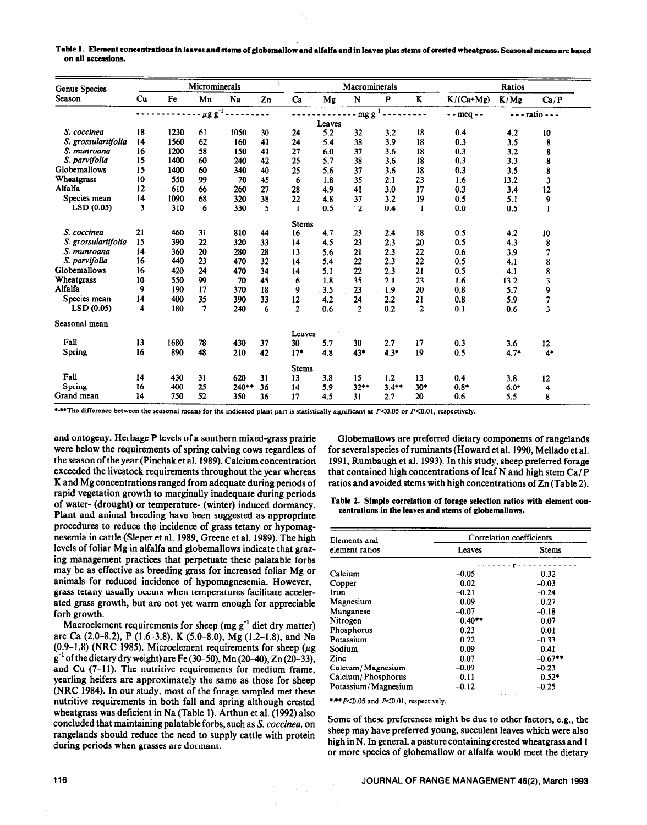Table 1. Element concentrations in **leaves and stems of giobemaiiow and alfalfa and in leaves** plus **stems of crested wheatgrass. Seasonai means are based on ail accessions.** 

| Genus Species       | Microminerals |      |                           |         |    | Macrominerals  |        |                |              | Ratios         |               |        |                         |
|---------------------|---------------|------|---------------------------|---------|----|----------------|--------|----------------|--------------|----------------|---------------|--------|-------------------------|
| Season              | Cu            | Fe   | Mn                        | Na      | Zn | Ca             | Mg     | N              | $\mathbf{P}$ | K              | $K/(Ca+Mg)$   | K/Mg   | Ca/P                    |
|                     |               |      | $\mu$ g g <sup>-1</sup> - |         |    |                |        | $mgg^{-1}$ .   |              |                | $-$ - meq $-$ |        | $---$ ratio $---$       |
|                     |               |      |                           |         |    |                | Leaves |                |              |                |               |        |                         |
| S. coccinea         | 18            | 1230 | 61                        | 1050    | 30 | 24             | 5.2    | 32             | 3.2          | 18             | 0.4           | 4.2    | 10                      |
| S. grossulariifolia | 14            | 1560 | 62                        | 160     | 41 | 24             | 5.4    | 38             | 3.9          | 18             | 0.3           | 3.5    | 8                       |
| S. munroana         | 16            | 1200 | 58                        | 150     | 41 | 27             | 6.0    | 37             | 3.6          | 18             | 0.3           | 3.2    | 8                       |
| S. parvifolia       | 15            | 1400 | 60                        | 240     | 42 | 25             | 5.7    | 38             | 3.6          | 18             | 0.3           | 3.3    | 8                       |
| Globemallows        | 15            | 1400 | 60                        | 340     | 40 | 25             | 5.6    | 37             | 3.6          | 18             | 0.3           | 3.5    | 8                       |
| Wheatgrass          | 10            | 550  | 99                        | 70      | 45 | 6              | 1.8    | 35             | 2.1          | 23             | 1.6           | 13.2   | $\mathbf{3}$            |
| Alfalfa             | 12            | 610  | 66                        | 260     | 27 | 28             | 4.9    | 41             | 3.0          | 17             | 0.3           | 3.4    | 12                      |
| Species mean        | 14            | 1090 | 68                        | 320     | 38 | 22             | 4.8    | 37             | 3.2          | 19             | 0.5           | 5.1    | 9                       |
| LSD(0.05)           | 3             | 310  | 6                         | 330     | 5  |                | 0.5    | $\mathbf{2}$   | 0.4          | -1             | 0.0           | 0.5    | I                       |
|                     |               |      |                           |         |    | <b>Stems</b>   |        |                |              |                |               |        |                         |
| S. coccinea         | 21            | 460  | 31                        | 810     | 44 | 16             | 4.7    | 23             | 2.4          | 18             | 0.5           | 4.2    | 10                      |
| S. grossulariifolia | 15            | 390  | 22                        | 320     | 33 | 14             | 4.5    | 23             | 2.3          | 20             | 0.5           | 4.3    | 8                       |
| S. munroana         | 14            | 360  | 20                        | 280     | 28 | 13             | 5.6    | 21             | 2.3          | 22             | 0.6           | 3.9    |                         |
| S. parvifolia       | 16            | 440  | 23                        | 470     | 32 | 14             | 5.4    | 22             | 2.3          | 22             | 0.5           | 4.1    | 8                       |
| Globemallows        | 16            | 420  | 24                        | 470     | 34 | 14             | 5.1    | 22             | 2.3          | 21             | 0.5           | 4.1    | 8                       |
| Wheatgrass          | 10            | 550  | 99                        | 70      | 45 | 6              | 1.8    | 35             | 2.1          | 23             | 1.6           | 13.2   | $\overline{\mathbf{3}}$ |
| Alfalfa             | 9             | 190  | 17                        | 370     | 18 | 9              | 3.5    | 23             | 1.9          | 20             | 0.8           | 5.7    | 9                       |
| Species mean        | 14            | 400  | 35                        | 390     | 33 | 12             | 4.2    | 24             | 2.2          | 21             | 0.8           | 5.9    |                         |
| LSD(0.05)           | 4             | 180  | 7                         | 240     | 6  | $\overline{2}$ | 0.6    | $\overline{2}$ | 0.2          | $\overline{2}$ | 0.1           | 0.6    | $\overline{\mathbf{3}}$ |
| Seasonal mean       |               |      |                           |         |    |                |        |                |              |                |               |        |                         |
|                     |               |      |                           |         |    | Leaves         |        |                |              |                |               |        |                         |
| Fall                | 13            | 1680 | 78                        | 430     | 37 | 30             | 5.7    | 30             | 2.7          | 17             | 0.3           | 3.6    | 12                      |
| <b>Spring</b>       | 16            | 890  | 48                        | 210     | 42 | $17*$          | 4.8    | 43*            | $4.3*$       | 19             | 0.5           | $4.7*$ | $4*$                    |
|                     |               |      |                           |         |    | <b>Stems</b>   |        |                |              |                |               |        |                         |
| Fall                | 14            | 430  | 31                        | 620     | 31 | 13             | 3.8    | 15             | 1.2          | 13             | 0.4           | 3.8    | 12                      |
| Spring              | 16            | 400  | 25                        | $240**$ | 36 | 14             | 5.9    | $32**$         | $3.4***$     | $30*$          | $0.8*$        | $6.0*$ | 4                       |
| Grand mean          | 14            | 750  | 52                        | 350     | 36 | 17             | 4.5    | 31             | 2.7          | 20             | 0.6           | 5.5    | 8                       |

\*\*\*The difference between the seasonal means for the indicated plant part is statistically significant at P<0.05 or P<0.01, respectively.

and ontogeny. Herbage P levels of a southern mixed-grass prairie were below the requirements of spring calving cows regardless of the season of the year (Pinchak et al. 1989). Calcium concentration exceeded the livestock requirements throughout the year whereas **K** and Mg concentrations ranged from adequate during periods of rapid vegetation growth to marginally inadequate during periods of water- (drought) or temperature- (winter) induced dormancy. Plant and animal breeding have been suggested as appropriate procedures to reduce the incidence of grass tetany or hypomagnesemia in cattle (Sleper et al. 1989, Greene et al. 1989). The high levels of foliar Mg in alfalfa and globemallows indicate that grazing management practices that perpetuate these palatable forbs may be as effective as breeding grass for increased foliar Mg or animals for reduced incidence of hypomagnesemia. However, grass tetany usually occurs when temperatures facilitate accelerated grass growth, but are not yet warm enough for appreciable forb growth.

Macroelement requirements for sheep (mg  $g^{-1}$  diet dry matter) are Ca (2.0-8.2), P (1.6-3.8), K (5.0-&O), Mg (1.2-1.8), and Na (0.9-1.8) (NRC 1985). Microelement requirements for sheep ( $\mu$ g g-l of the dietary **dry** weight) are Fe (30-50), Mn (20-40), Zn (20-33), and Cu (7-11). The nutritive requirements for medium frame, yearling heifers are approximately the same as those for sheep (NRC 1984). In our study, most of the forage sampled met these nutritive requirements in both fall and spring although crested wheatgrass was deficient in Na (Table 1). Arthun et al. (1992) also concluded that maintaining palatable forbs, such as S. *caccineu,* on rangelands should reduce the need to supply cattle with protein during periods when grasses are dormant.

Globemallows are preferred dietary components of rangelands for several species of ruminants (Howard et al. 1990, Mellado et al. 1991, Rumbaugh et al. 1993). In this study, sheep preferred forage that contained high concentrations of leaf N and high stem  $Ca/P$ ratios and avoided stems with high concentrations of Zn (Table 2).

Table 2. Simple **correlation of forage selection ratios with element concentrations in the leaves and stems of giobemaiiows.** 

| Elements and        | Correlation coefficients |           |  |  |  |  |
|---------------------|--------------------------|-----------|--|--|--|--|
| element ratios      | Leaves                   | Stems     |  |  |  |  |
|                     |                          |           |  |  |  |  |
| Calcium             | $-0.05$                  | 0.32      |  |  |  |  |
| Copper              | 0.02                     | $-0.03$   |  |  |  |  |
| Iron                | $-0.21$                  | $-0.24$   |  |  |  |  |
| Magnesium           | 0.09                     | 0.27      |  |  |  |  |
| Manganese           | $-0.07$                  | $-0.18$   |  |  |  |  |
| Nitrogen            | $0.40**$                 | 0.07      |  |  |  |  |
| Phosphorus          | 0.23                     | 0.01      |  |  |  |  |
| Potassium           | 0.22                     | $-0.33$   |  |  |  |  |
| Sodium              | 0.09                     | 0.41      |  |  |  |  |
| Zinc                | 0.07                     | $-0.67**$ |  |  |  |  |
| Calcium/Magnesium   | $-0.09$                  | $-0.23$   |  |  |  |  |
| Calcium/Phosphorus  | $-0.11$                  | $0.52*$   |  |  |  |  |
| Potassium/Magnesium | $-0.12$                  | $-0.25$   |  |  |  |  |

\*\*\* P<0.05 and P<0.01, respectively.

Some of these preferences might be due to other factors, e.g., the sheep may have preferred young, succulent leaves which were also high in N. In general, a pasture containing crested wheatgrass and 1 or more species of globemallow or alfalfa would meet the dietary